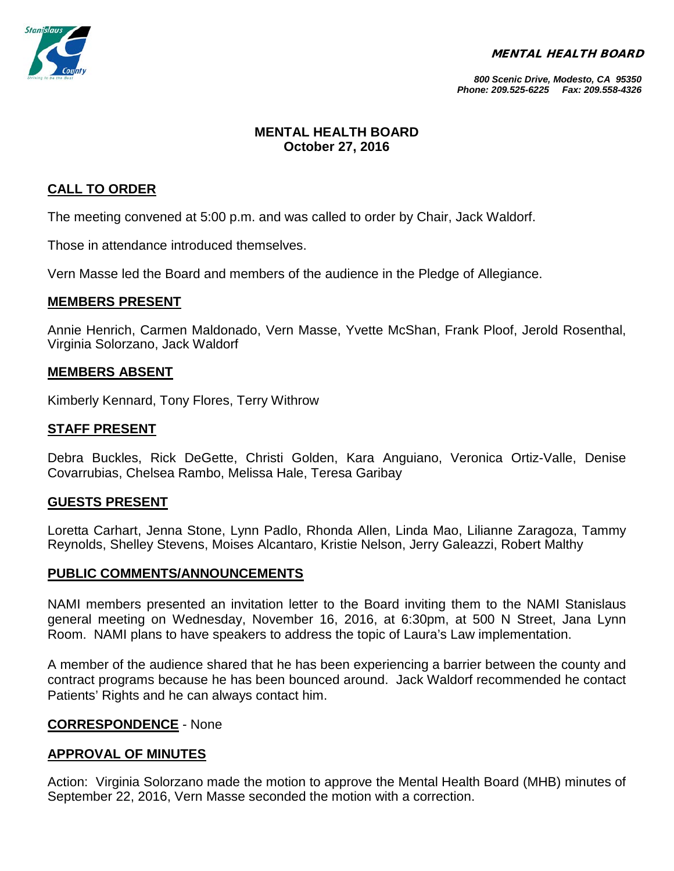MENTAL HEALTH BOARD



*800 Scenic Drive, Modesto, CA 95350 Phone: 209.525-6225 Fax: 209.558-4326*

# **MENTAL HEALTH BOARD October 27, 2016**

# **CALL TO ORDER**

The meeting convened at 5:00 p.m. and was called to order by Chair, Jack Waldorf.

Those in attendance introduced themselves.

Vern Masse led the Board and members of the audience in the Pledge of Allegiance.

### **MEMBERS PRESENT**

Annie Henrich, Carmen Maldonado, Vern Masse, Yvette McShan, Frank Ploof, Jerold Rosenthal, Virginia Solorzano, Jack Waldorf

#### **MEMBERS ABSENT**

Kimberly Kennard, Tony Flores, Terry Withrow

### **STAFF PRESENT**

Debra Buckles, Rick DeGette, Christi Golden, Kara Anguiano, Veronica Ortiz-Valle, Denise Covarrubias, Chelsea Rambo, Melissa Hale, Teresa Garibay

#### **GUESTS PRESENT**

Loretta Carhart, Jenna Stone, Lynn Padlo, Rhonda Allen, Linda Mao, Lilianne Zaragoza, Tammy Reynolds, Shelley Stevens, Moises Alcantaro, Kristie Nelson, Jerry Galeazzi, Robert Malthy

#### **PUBLIC COMMENTS/ANNOUNCEMENTS**

NAMI members presented an invitation letter to the Board inviting them to the NAMI Stanislaus general meeting on Wednesday, November 16, 2016, at 6:30pm, at 500 N Street, Jana Lynn Room. NAMI plans to have speakers to address the topic of Laura's Law implementation.

A member of the audience shared that he has been experiencing a barrier between the county and contract programs because he has been bounced around. Jack Waldorf recommended he contact Patients' Rights and he can always contact him.

### **CORRESPONDENCE** - None

### **APPROVAL OF MINUTES**

Action: Virginia Solorzano made the motion to approve the Mental Health Board (MHB) minutes of September 22, 2016, Vern Masse seconded the motion with a correction.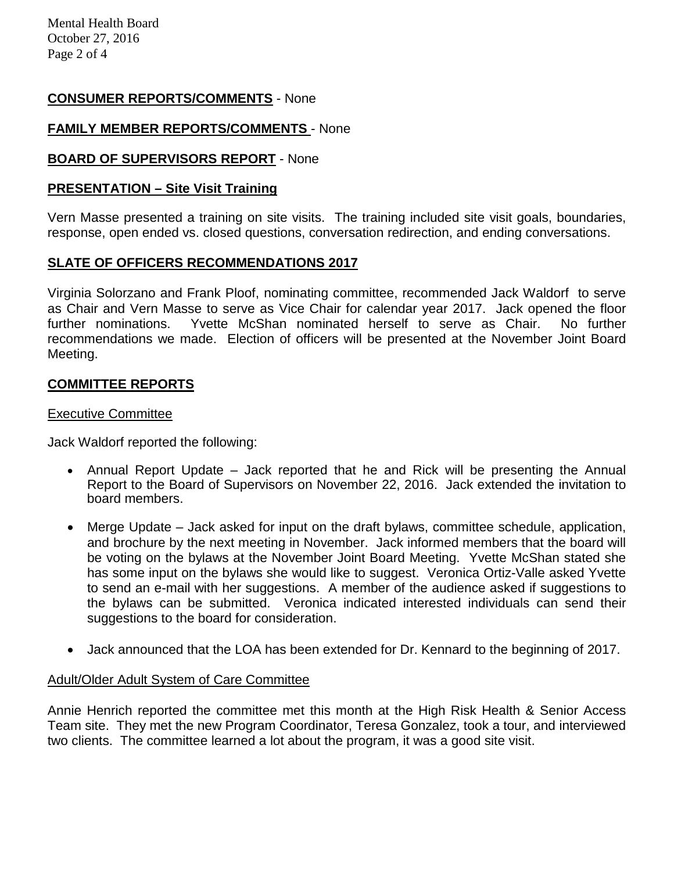Mental Health Board October 27, 2016 Page 2 of 4

## **CONSUMER REPORTS/COMMENTS** - None

## **FAMILY MEMBER REPORTS/COMMENTS** - None

## **BOARD OF SUPERVISORS REPORT** - None

#### **PRESENTATION – Site Visit Training**

Vern Masse presented a training on site visits. The training included site visit goals, boundaries, response, open ended vs. closed questions, conversation redirection, and ending conversations.

# **SLATE OF OFFICERS RECOMMENDATIONS 2017**

Virginia Solorzano and Frank Ploof, nominating committee, recommended Jack Waldorf to serve as Chair and Vern Masse to serve as Vice Chair for calendar year 2017. Jack opened the floor further nominations. Yvette McShan nominated herself to serve as Chair. No further recommendations we made. Election of officers will be presented at the November Joint Board Meeting.

### **COMMITTEE REPORTS**

#### Executive Committee

Jack Waldorf reported the following:

- Annual Report Update Jack reported that he and Rick will be presenting the Annual Report to the Board of Supervisors on November 22, 2016. Jack extended the invitation to board members.
- Merge Update Jack asked for input on the draft bylaws, committee schedule, application, and brochure by the next meeting in November. Jack informed members that the board will be voting on the bylaws at the November Joint Board Meeting. Yvette McShan stated she has some input on the bylaws she would like to suggest. Veronica Ortiz-Valle asked Yvette to send an e-mail with her suggestions. A member of the audience asked if suggestions to the bylaws can be submitted. Veronica indicated interested individuals can send their suggestions to the board for consideration.
- Jack announced that the LOA has been extended for Dr. Kennard to the beginning of 2017.

### Adult/Older Adult System of Care Committee

Annie Henrich reported the committee met this month at the High Risk Health & Senior Access Team site. They met the new Program Coordinator, Teresa Gonzalez, took a tour, and interviewed two clients. The committee learned a lot about the program, it was a good site visit.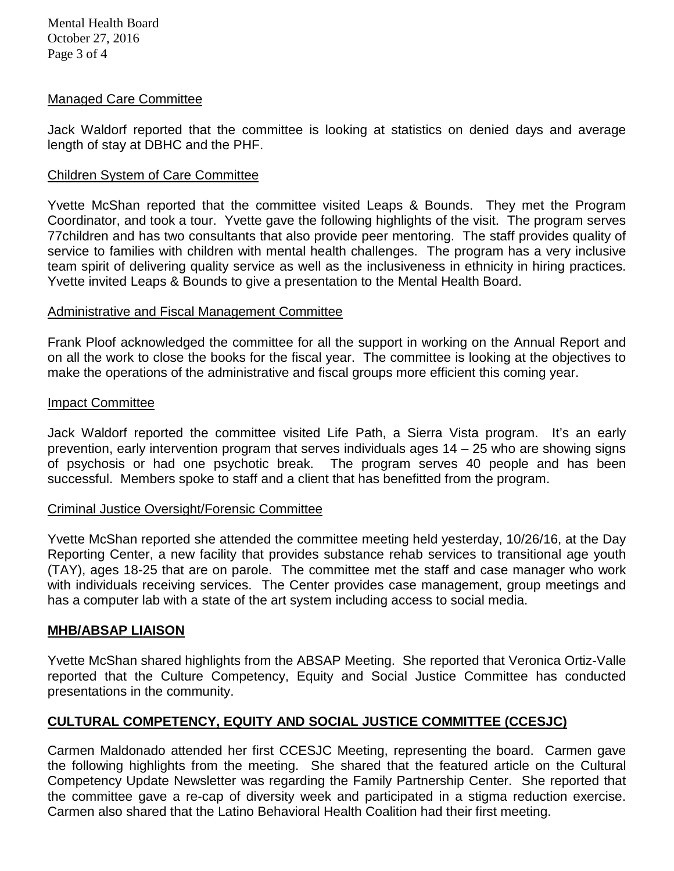Mental Health Board October 27, 2016 Page 3 of 4

#### Managed Care Committee

Jack Waldorf reported that the committee is looking at statistics on denied days and average length of stay at DBHC and the PHF.

#### Children System of Care Committee

Yvette McShan reported that the committee visited Leaps & Bounds. They met the Program Coordinator, and took a tour. Yvette gave the following highlights of the visit. The program serves 77children and has two consultants that also provide peer mentoring. The staff provides quality of service to families with children with mental health challenges. The program has a very inclusive team spirit of delivering quality service as well as the inclusiveness in ethnicity in hiring practices. Yvette invited Leaps & Bounds to give a presentation to the Mental Health Board.

#### Administrative and Fiscal Management Committee

Frank Ploof acknowledged the committee for all the support in working on the Annual Report and on all the work to close the books for the fiscal year. The committee is looking at the objectives to make the operations of the administrative and fiscal groups more efficient this coming year.

#### Impact Committee

Jack Waldorf reported the committee visited Life Path, a Sierra Vista program. It's an early prevention, early intervention program that serves individuals ages 14 – 25 who are showing signs of psychosis or had one psychotic break. The program serves 40 people and has been successful. Members spoke to staff and a client that has benefitted from the program.

#### Criminal Justice Oversight/Forensic Committee

Yvette McShan reported she attended the committee meeting held yesterday, 10/26/16, at the Day Reporting Center, a new facility that provides substance rehab services to transitional age youth (TAY), ages 18-25 that are on parole. The committee met the staff and case manager who work with individuals receiving services. The Center provides case management, group meetings and has a computer lab with a state of the art system including access to social media.

### **MHB/ABSAP LIAISON**

Yvette McShan shared highlights from the ABSAP Meeting. She reported that Veronica Ortiz-Valle reported that the Culture Competency, Equity and Social Justice Committee has conducted presentations in the community.

# **CULTURAL COMPETENCY, EQUITY AND SOCIAL JUSTICE COMMITTEE (CCESJC)**

Carmen Maldonado attended her first CCESJC Meeting, representing the board. Carmen gave the following highlights from the meeting. She shared that the featured article on the Cultural Competency Update Newsletter was regarding the Family Partnership Center. She reported that the committee gave a re-cap of diversity week and participated in a stigma reduction exercise. Carmen also shared that the Latino Behavioral Health Coalition had their first meeting.